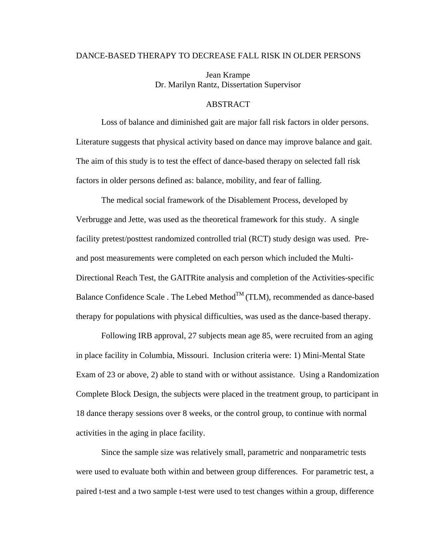## DANCE-BASED THERAPY TO DECREASE FALL RISK IN OLDER PERSONS

Jean Krampe Dr. Marilyn Rantz, Dissertation Supervisor

## ABSTRACT

Loss of balance and diminished gait are major fall risk factors in older persons. Literature suggests that physical activity based on dance may improve balance and gait. The aim of this study is to test the effect of dance-based therapy on selected fall risk factors in older persons defined as: balance, mobility, and fear of falling.

The medical social framework of the Disablement Process, developed by Verbrugge and Jette, was used as the theoretical framework for this study. A single facility pretest/posttest randomized controlled trial (RCT) study design was used. Preand post measurements were completed on each person which included the Multi-Directional Reach Test, the GAITRite analysis and completion of the Activities-specific Balance Confidence Scale . The Lebed Method $^{TM}$  (TLM), recommended as dance-based therapy for populations with physical difficulties, was used as the dance-based therapy.

Following IRB approval, 27 subjects mean age 85, were recruited from an aging in place facility in Columbia, Missouri. Inclusion criteria were: 1) Mini-Mental State Exam of 23 or above, 2) able to stand with or without assistance. Using a Randomization Complete Block Design, the subjects were placed in the treatment group, to participant in 18 dance therapy sessions over 8 weeks, or the control group, to continue with normal activities in the aging in place facility.

Since the sample size was relatively small, parametric and nonparametric tests were used to evaluate both within and between group differences. For parametric test, a paired t-test and a two sample t-test were used to test changes within a group, difference